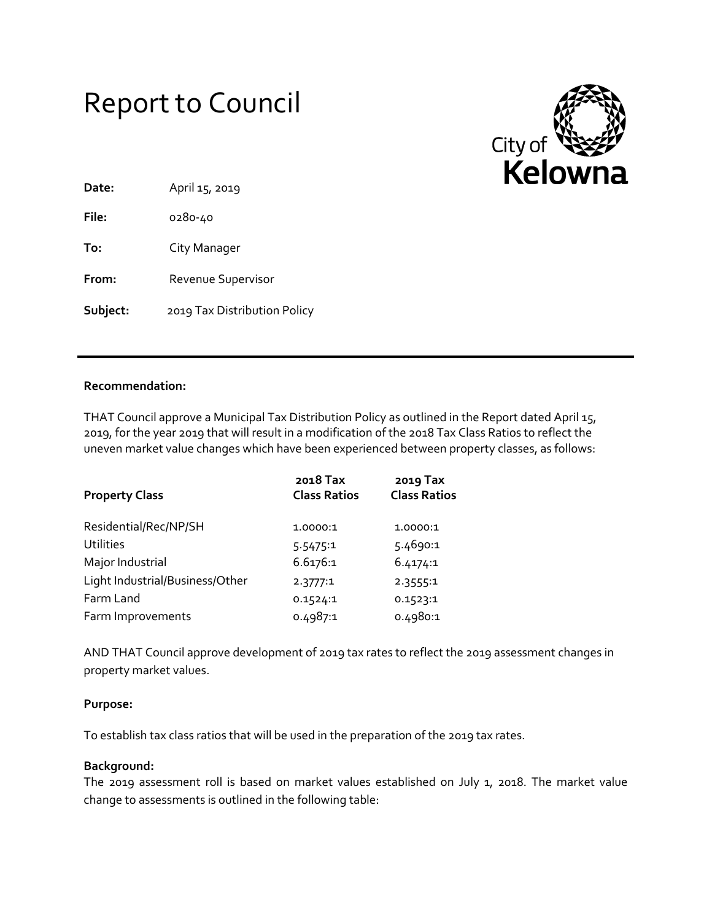



| Date:    | April 15, 2019               |
|----------|------------------------------|
| File:    | 0280-40                      |
| To:      | City Manager                 |
| From:    | Revenue Supervisor           |
| Subject: | 2019 Tax Distribution Policy |

### **Recommendation:**

THAT Council approve a Municipal Tax Distribution Policy as outlined in the Report dated April 15, 2019, for the year 2019 that will result in a modification of the 2018 Tax Class Ratios to reflect the uneven market value changes which have been experienced between property classes, as follows:

| <b>Property Class</b>           | 2018 Tax<br><b>Class Ratios</b> | 2019 Tax<br><b>Class Ratios</b> |
|---------------------------------|---------------------------------|---------------------------------|
| Residential/Rec/NP/SH           | 1.0000:1                        | 1.0000:1                        |
| <b>Utilities</b>                | 5.5475:1                        | 5.4690:1                        |
| Major Industrial                | 6.6176:1                        | 6.4174:1                        |
| Light Industrial/Business/Other | 2.3777:1                        | 2.3555:1                        |
| Farm Land                       | 0.1524:1                        | 0.1523:1                        |
| Farm Improvements               | 0.4987:1                        | 0.4980:1                        |

AND THAT Council approve development of 2019 tax rates to reflect the 2019 assessment changes in property market values.

#### **Purpose:**

To establish tax class ratios that will be used in the preparation of the 2019 tax rates.

#### **Background:**

The 2019 assessment roll is based on market values established on July 1, 2018. The market value change to assessments is outlined in the following table: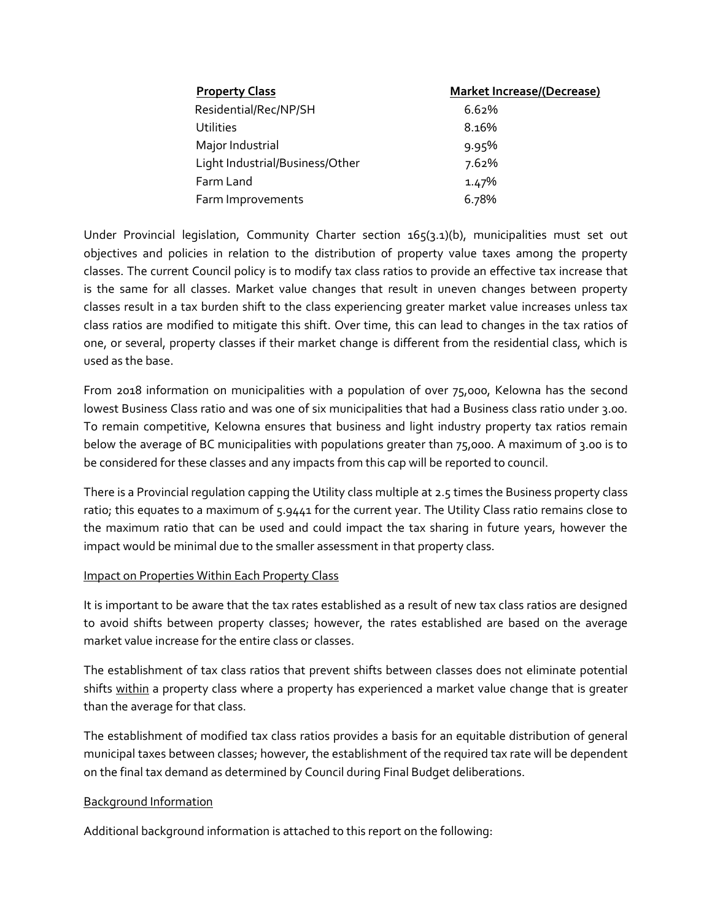| <b>Property Class</b>           | <b>Market Increase/(Decrease)</b> |
|---------------------------------|-----------------------------------|
| Residential/Rec/NP/SH           | 6.62%                             |
| <b>Utilities</b>                | 8.16%                             |
| Major Industrial                | 9.95%                             |
| Light Industrial/Business/Other | 7.62%                             |
| Farm Land                       | 1.47%                             |
| Farm Improvements               | 6.78%                             |

Under Provincial legislation, Community Charter section 165(3.1)(b), municipalities must set out objectives and policies in relation to the distribution of property value taxes among the property classes. The current Council policy is to modify tax class ratios to provide an effective tax increase that is the same for all classes. Market value changes that result in uneven changes between property classes result in a tax burden shift to the class experiencing greater market value increases unless tax class ratios are modified to mitigate this shift. Over time, this can lead to changes in the tax ratios of one, or several, property classes if their market change is different from the residential class, which is used as the base.

From 2018 information on municipalities with a population of over 75,000, Kelowna has the second lowest Business Class ratio and was one of six municipalities that had a Business class ratio under 3.00. To remain competitive, Kelowna ensures that business and light industry property tax ratios remain below the average of BC municipalities with populations greater than 75,000. A maximum of 3.00 is to be considered for these classes and any impacts from this cap will be reported to council.

There is a Provincial regulation capping the Utility class multiple at 2.5 times the Business property class ratio; this equates to a maximum of 5.9441 for the current year. The Utility Class ratio remains close to the maximum ratio that can be used and could impact the tax sharing in future years, however the impact would be minimal due to the smaller assessment in that property class.

#### Impact on Properties Within Each Property Class

It is important to be aware that the tax rates established as a result of new tax class ratios are designed to avoid shifts between property classes; however, the rates established are based on the average market value increase for the entire class or classes.

The establishment of tax class ratios that prevent shifts between classes does not eliminate potential shifts within a property class where a property has experienced a market value change that is greater than the average for that class.

The establishment of modified tax class ratios provides a basis for an equitable distribution of general municipal taxes between classes; however, the establishment of the required tax rate will be dependent on the final tax demand as determined by Council during Final Budget deliberations.

### Background Information

Additional background information is attached to this report on the following: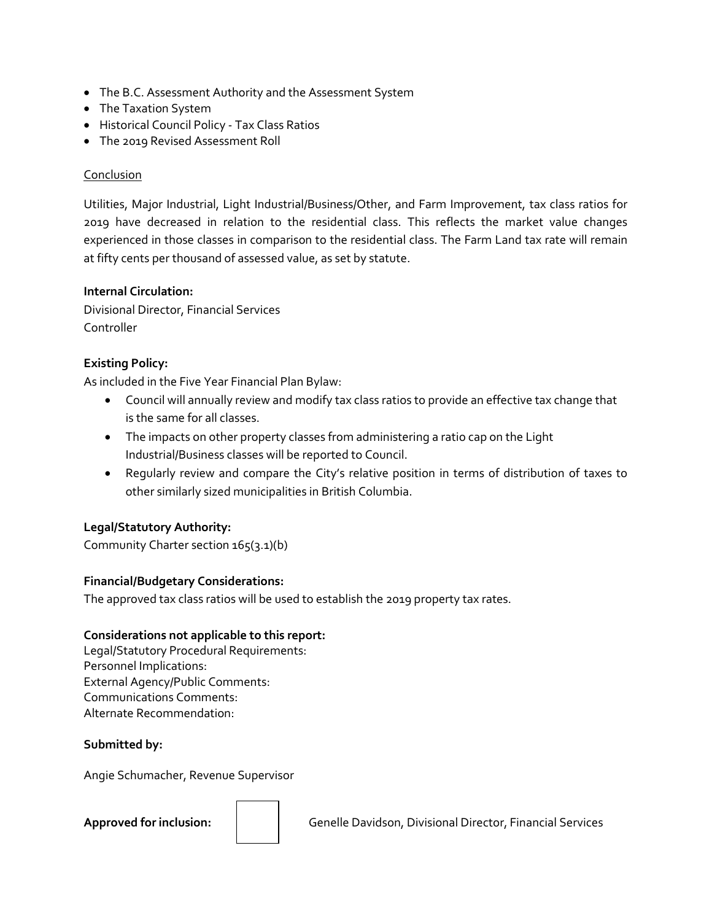- The B.C. Assessment Authority and the Assessment System
- The Taxation System
- Historical Council Policy Tax Class Ratios
- The 2019 Revised Assessment Roll

### **Conclusion**

Utilities, Major Industrial, Light Industrial/Business/Other, and Farm Improvement, tax class ratios for 2019 have decreased in relation to the residential class. This reflects the market value changes experienced in those classes in comparison to the residential class. The Farm Land tax rate will remain at fifty cents per thousand of assessed value, as set by statute.

#### **Internal Circulation:**

Divisional Director, Financial Services Controller

### **Existing Policy:**

As included in the Five Year Financial Plan Bylaw:

- Council will annually review and modify tax class ratios to provide an effective tax change that is the same for all classes.
- The impacts on other property classes from administering a ratio cap on the Light Industrial/Business classes will be reported to Council.
- Regularly review and compare the City's relative position in terms of distribution of taxes to other similarly sized municipalities in British Columbia.

### **Legal/Statutory Authority:**

Community Charter section 165(3.1)(b)

### **Financial/Budgetary Considerations:**

The approved tax class ratios will be used to establish the 2019 property tax rates.

### **Considerations not applicable to this report:**

Legal/Statutory Procedural Requirements: Personnel Implications: External Agency/Public Comments: Communications Comments: Alternate Recommendation:

### **Submitted by:**

Angie Schumacher, Revenue Supervisor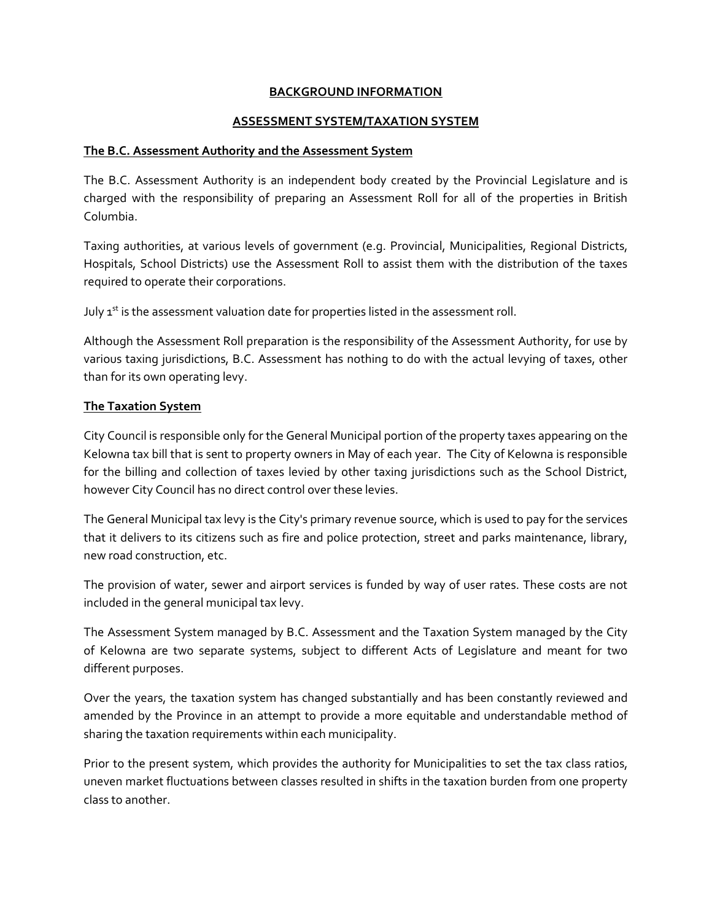#### **BACKGROUND INFORMATION**

#### **ASSESSMENT SYSTEM/TAXATION SYSTEM**

#### **The B.C. Assessment Authority and the Assessment System**

The B.C. Assessment Authority is an independent body created by the Provincial Legislature and is charged with the responsibility of preparing an Assessment Roll for all of the properties in British Columbia.

Taxing authorities, at various levels of government (e.g. Provincial, Municipalities, Regional Districts, Hospitals, School Districts) use the Assessment Roll to assist them with the distribution of the taxes required to operate their corporations.

July  $1<sup>st</sup>$  is the assessment valuation date for properties listed in the assessment roll.

Although the Assessment Roll preparation is the responsibility of the Assessment Authority, for use by various taxing jurisdictions, B.C. Assessment has nothing to do with the actual levying of taxes, other than for its own operating levy.

#### **The Taxation System**

City Council is responsible only for the General Municipal portion of the property taxes appearing on the Kelowna tax bill that is sent to property owners in May of each year. The City of Kelowna is responsible for the billing and collection of taxes levied by other taxing jurisdictions such as the School District, however City Council has no direct control over these levies.

The General Municipal tax levy is the City's primary revenue source, which is used to pay for the services that it delivers to its citizens such as fire and police protection, street and parks maintenance, library, new road construction, etc.

The provision of water, sewer and airport services is funded by way of user rates. These costs are not included in the general municipal tax levy.

The Assessment System managed by B.C. Assessment and the Taxation System managed by the City of Kelowna are two separate systems, subject to different Acts of Legislature and meant for two different purposes.

Over the years, the taxation system has changed substantially and has been constantly reviewed and amended by the Province in an attempt to provide a more equitable and understandable method of sharing the taxation requirements within each municipality.

Prior to the present system, which provides the authority for Municipalities to set the tax class ratios, uneven market fluctuations between classes resulted in shifts in the taxation burden from one property class to another.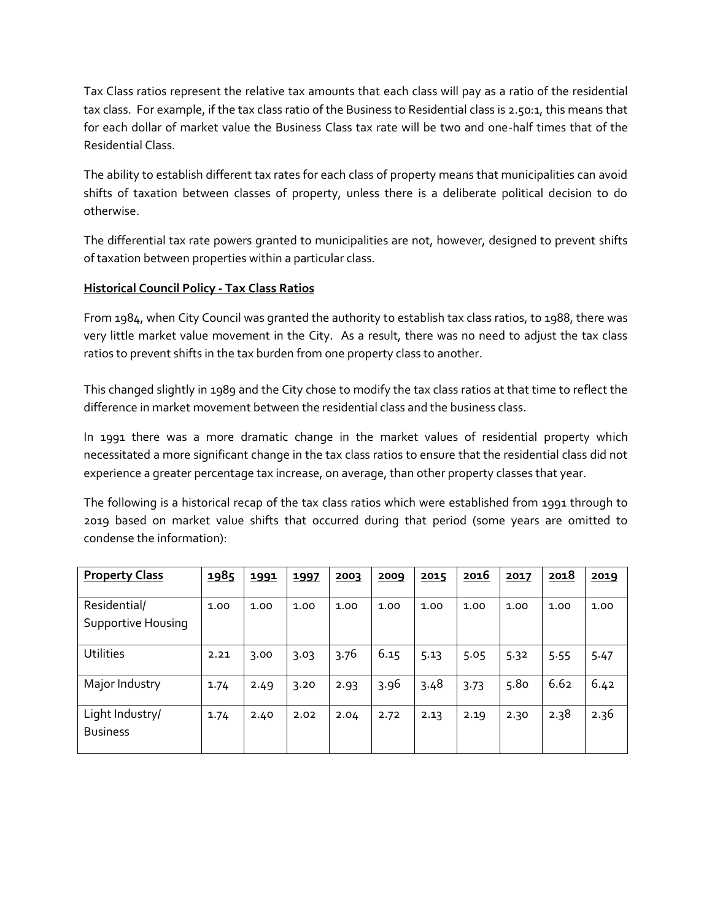Tax Class ratios represent the relative tax amounts that each class will pay as a ratio of the residential tax class. For example, if the tax class ratio of the Business to Residential class is 2.50:1, this means that for each dollar of market value the Business Class tax rate will be two and one-half times that of the Residential Class.

The ability to establish different tax rates for each class of property means that municipalities can avoid shifts of taxation between classes of property, unless there is a deliberate political decision to do otherwise.

The differential tax rate powers granted to municipalities are not, however, designed to prevent shifts of taxation between properties within a particular class.

## **Historical Council Policy - Tax Class Ratios**

From 1984, when City Council was granted the authority to establish tax class ratios, to 1988, there was very little market value movement in the City. As a result, there was no need to adjust the tax class ratios to prevent shifts in the tax burden from one property class to another.

This changed slightly in 1989 and the City chose to modify the tax class ratios at that time to reflect the difference in market movement between the residential class and the business class.

In 1991 there was a more dramatic change in the market values of residential property which necessitated a more significant change in the tax class ratios to ensure that the residential class did not experience a greater percentage tax increase, on average, than other property classes that year.

The following is a historical recap of the tax class ratios which were established from 1991 through to 2019 based on market value shifts that occurred during that period (some years are omitted to condense the information):

| <b>Property Class</b>              | 1985 | 1991 | 1997 | 2003 | 2009 | 2015 | 2016 | 2017 | 2018 | 2019 |
|------------------------------------|------|------|------|------|------|------|------|------|------|------|
|                                    |      |      |      |      |      |      |      |      |      |      |
| Residential/                       | 1.00 | 1.00 | 1.00 | 1.00 | 1.00 | 1.00 | 1.00 | 1.00 | 1.00 | 1.00 |
| Supportive Housing                 |      |      |      |      |      |      |      |      |      |      |
| <b>Utilities</b>                   | 2.21 | 3.00 | 3.03 | 3.76 | 6.15 | 5.13 | 5.05 | 5.32 | 5.55 | 5.47 |
| Major Industry                     | 1.74 | 2.49 | 3.20 | 2.93 | 3.96 | 3.48 | 3.73 | 5.80 | 6.62 | 6.42 |
| Light Industry/<br><b>Business</b> | 1.74 | 2.40 | 2.02 | 2.04 | 2.72 | 2.13 | 2.19 | 2.30 | 2.38 | 2.36 |